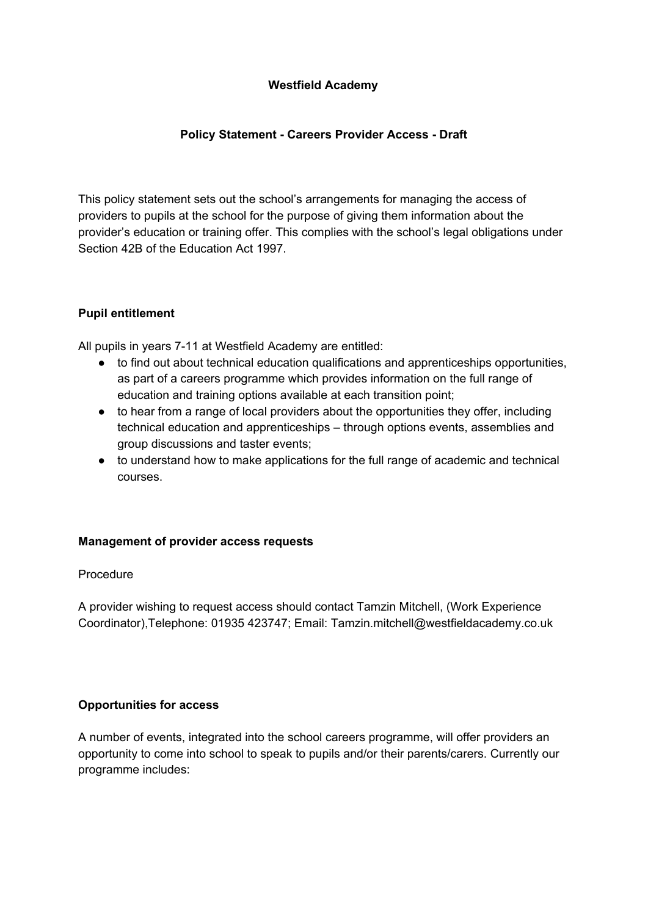## **Westfield Academy**

# **Policy Statement - Careers Provider Access - Draft**

This policy statement sets out the school's arrangements for managing the access of providers to pupils at the school for the purpose of giving them information about the provider's education or training offer. This complies with the school's legal obligations under Section 42B of the Education Act 1997.

# **Pupil entitlement**

All pupils in years 7-11 at Westfield Academy are entitled:

- to find out about technical education qualifications and apprenticeships opportunities, as part of a careers programme which provides information on the full range of education and training options available at each transition point;
- to hear from a range of local providers about the opportunities they offer, including technical education and apprenticeships – through options events, assemblies and group discussions and taster events;
- to understand how to make applications for the full range of academic and technical courses.

### **Management of provider access requests**

### Procedure

A provider wishing to request access should contact Tamzin Mitchell, (Work Experience Coordinator),Telephone: 01935 423747; Email: Tamzin.mitchell@westfieldacademy.co.uk

### **Opportunities for access**

A number of events, integrated into the school careers programme, will offer providers an opportunity to come into school to speak to pupils and/or their parents/carers. Currently our programme includes: